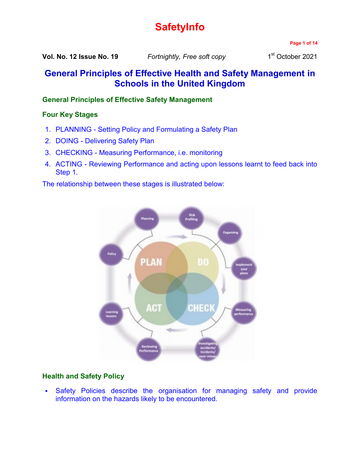# **SafetyInfo**

**Page 1 of 14**

**Vol. No. 12 Issue No. 19** *Fortnightly, Free soft copy* 1

1st October 2021

## **General Principles of Effective Health and Safety Management in Schools in the United Kingdom**

## **General Principles of Effective Safety Management**

## **Four Key Stages**

- 1. PLANNING Setting Policy and Formulating a Safety Plan
- 2. DOING Delivering Safety Plan
- 3. CHECKING Measuring Performance, i.e. monitoring
- 4. ACTING Reviewing Performance and acting upon lessons learnt to feed back into Step 1.

The relationship between these stages is illustrated below:



## **Health and Safety Policy**

 Safety Policies describe the organisation for managing safety and provide information on the hazards likely to be encountered.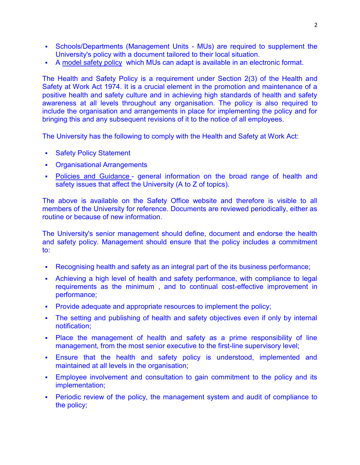- Schools/Departments (Management Units MUs) are required to supplement the University's policy with a document tailored to their local situation.
- A [model safety policy](https://www.nottingham.ac.uk/safety/documents/policy-model.docx) which MUs can adapt is available in an electronic format.

The Health and Safety Policy is a requirement under Section 2(3) of the Health and Safety at Work Act 1974. It is a crucial element in the promotion and maintenance of a positive health and safety culture and in achieving high standards of health and safety awareness at all levels throughout any organisation. The policy is also required to include the organisation and arrangements in place for implementing the policy and for bringing this and any subsequent revisions of it to the notice of all employees.

The University has the following to comply with the Health and Safety at Work Act:

- **Safety Policy Statement**
- Organisational Arrangements
- [Policies and Guidance](https://www.nottingham.ac.uk/safety/policies-and-guidance/guides-and-support.aspx) general information on the broad range of health and safety issues that affect the University (A to Z of topics).

The above is available on the Safety Office website and therefore is visible to all members of the University for reference. Documents are reviewed periodically, either as routine or because of new information.

The University's senior management should define, document and endorse the health and safety policy. Management should ensure that the policy includes a commitment to:

- Recognising health and safety as an integral part of the its business performance;
- Achieving a high level of health and safety performance, with compliance to legal requirements as the minimum , and to continual cost-effective improvement in performance;
- Provide adequate and appropriate resources to implement the policy;
- The setting and publishing of health and safety objectives even if only by internal notification;
- Place the management of health and safety as a prime responsibility of line management, from the most senior executive to the first-line supervisory level;
- Ensure that the health and safety policy is understood, implemented and maintained at all levels in the organisation;
- Employee involvement and consultation to gain commitment to the policy and its implementation;
- Periodic review of the policy, the management system and audit of compliance to the policy;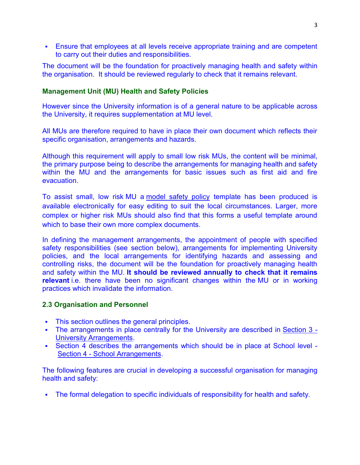Ensure that employees at all levels receive appropriate training and are competent to carry out their duties and responsibilities.

The document will be the foundation for proactively managing health and safety within the organisation. It should be reviewed regularly to check that it remains relevant.

#### **Management Unit (MU) Health and Safety Policies**

However since the University information is of a general nature to be applicable across the University, it requires supplementation at MU level.

All MUs are therefore required to have in place their own document which reflects their specific organisation, arrangements and hazards.

Although this requirement will apply to small low risk MUs, the content will be minimal, the primary purpose being to describe the arrangements for managing health and safety within the MU and the arrangements for basic issues such as first aid and fire evacuation.

To assist small, low risk MU a [model safety policy](https://www.nottingham.ac.uk/safety/documents/policy-model.docx) template has been produced is available electronically for easy editing to suit the local circumstances. Larger, more complex or higher risk MUs should also find that this forms a useful template around which to base their own more complex documents.

In defining the management arrangements, the appointment of people with specified safety responsibilities (see section below), arrangements for implementing University policies, and the local arrangements for identifying hazards and assessing and controlling risks, the document will be the foundation for proactively managing health and safety within the MU. **It should be reviewed annually to check that it remains relevant** i.e. there have been no significant changes within the MU or in working practices which invalidate the information.

#### **2.3 Organisation and Personnel**

- **This section outlines the general principles.**
- The arrangements in place centrally for the University are described in [Section 3 -](https://www.nottingham.ac.uk/safety/safety-management/esm/university-arrangements.aspx) [University Arrangements.](https://www.nottingham.ac.uk/safety/safety-management/esm/university-arrangements.aspx)
- Section 4 describes the arrangements which should be in place at School level Section 4 - [School Arrangements.](https://www.nottingham.ac.uk/safety/safety-management/esm/school-arrangements.aspx)

The following features are crucial in developing a successful organisation for managing health and safety:

The formal delegation to specific individuals of responsibility for health and safety.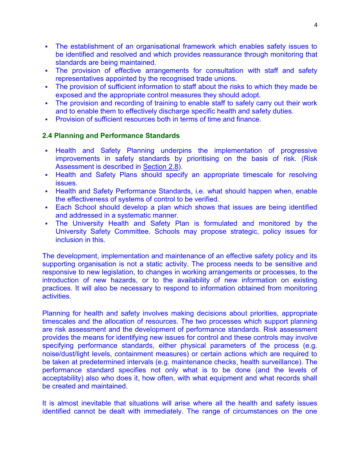- The establishment of an organisational framework which enables safety issues to be identified and resolved and which provides reassurance through monitoring that standards are being maintained.
- The provision of effective arrangements for consultation with staff and safety representatives appointed by the recognised trade unions.
- The provision of sufficient information to staff about the risks to which they made be exposed and the appropriate control measures they should adopt.
- The provision and recording of training to enable staff to safely carry out their work and to enable them to effectively discharge specific health and safety duties.
- **Provision of sufficient resources both in terms of time and finance.**

## **2.4 Planning and Performance Standards**

- Health and Safety Planning underpins the implementation of progressive improvements in safety standards by prioritising on the basis of risk. (Risk Assessment is described in [Section](https://www.nottingham.ac.uk/safety/safety-management/esm/general-principles-of-effective-health-and-safety-management.aspx#guidanceforRA) 2.8).
- **-** Health and Safety Plans should specify an appropriate timescale for resolving issues.
- Health and Safety Performance Standards, i.e. what should happen when, enable the effectiveness of systems of control to be verified.
- Each School should develop a plan which shows that issues are being identified and addressed in a systematic manner.
- The University Health and Safety Plan is formulated and monitored by the University Safety Committee. Schools may propose strategic, policy issues for inclusion in this.

The development, implementation and maintenance of an effective safety policy and its supporting organisation is not a static activity. The process needs to be sensitive and responsive to new legislation, to changes in working arrangements or processes, to the introduction of new hazards, or to the availability of new information on existing practices. It will also be necessary to respond to information obtained from monitoring activities.

Planning for health and safety involves making decisions about priorities, appropriate timescales and the allocation of resources. The two processes which support planning are risk assessment and the development of performance standards. Risk assessment provides the means for identifying new issues for control and these controls may involve specifying performance standards, either physical parameters of the process (e.g. noise/dust/light levels, containment measures) or certain actions which are required to be taken at predetermined intervals (e.g. maintenance checks, health surveillance). The performance standard specifies not only what is to be done (and the levels of acceptability) also who does it, how often, with what equipment and what records shall be created and maintained.

It is almost inevitable that situations will arise where all the health and safety issues identified cannot be dealt with immediately. The range of circumstances on the one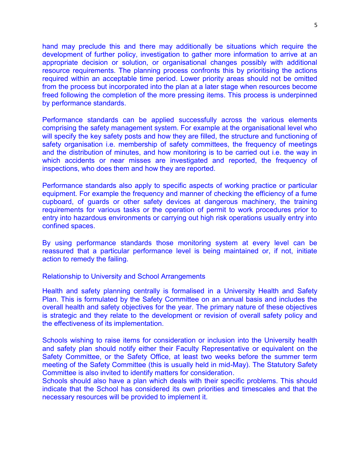hand may preclude this and there may additionally be situations which require the development of further policy, investigation to gather more information to arrive at an appropriate decision or solution, or organisational changes possibly with additional resource requirements. The planning process confronts this by prioritising the actions required within an acceptable time period. Lower priority areas should not be omitted from the process but incorporated into the plan at a later stage when resources become freed following the completion of the more pressing items. This process is underpinned by performance standards.

Performance standards can be applied successfully across the various elements comprising the safety management system. For example at the organisational level who will specify the key safety posts and how they are filled, the structure and functioning of safety organisation i.e. membership of safety committees, the frequency of meetings and the distribution of minutes, and how monitoring is to be carried out i.e. the way in which accidents or near misses are investigated and reported, the frequency of inspections, who does them and how they are reported.

Performance standards also apply to specific aspects of working practice or particular equipment. For example the frequency and manner of checking the efficiency of a fume cupboard, of guards or other safety devices at dangerous machinery, the training requirements for various tasks or the operation of permit to work procedures prior to entry into hazardous environments or carrying out high risk operations usually entry into confined spaces.

By using performance standards those monitoring system at every level can be reassured that a particular performance level is being maintained or, if not, initiate action to remedy the failing.

Relationship to University and School Arrangements

Health and safety planning centrally is formalised in a University Health and Safety Plan. This is formulated by the Safety Committee on an annual basis and includes the overall health and safety objectives for the year. The primary nature of these objectives is strategic and they relate to the development or revision of overall safety policy and the effectiveness of its implementation.

Schools wishing to raise items for consideration or inclusion into the University health and safety plan should notify either their Faculty Representative or equivalent on the Safety Committee, or the Safety Office, at least two weeks before the summer term meeting of the Safety Committee (this is usually held in mid-May). The Statutory Safety Committee is also invited to identify matters for consideration.

Schools should also have a plan which deals with their specific problems. This should indicate that the School has considered its own priorities and timescales and that the necessary resources will be provided to implement it.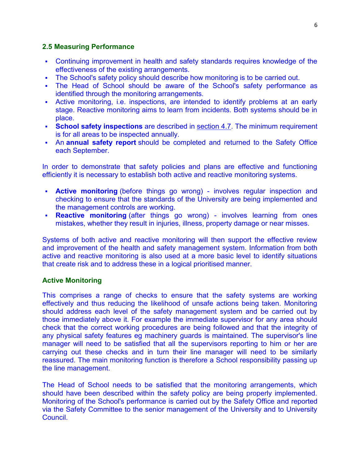#### **2.5 Measuring Performance**

- Continuing improvement in health and safety standards requires knowledge of the effectiveness of the existing arrangements.
- The School's safety policy should describe how monitoring is to be carried out.
- The Head of School should be aware of the School's safety performance as identified through the monitoring arrangements.
- Active monitoring, i.e. inspections, are intended to identify problems at an early stage. Reactive monitoring aims to learn from incidents. Both systems should be in place.
- **School safety inspections** are described in [section 4.7.](https://www.nottingham.ac.uk/safety/safety-management/esm/school-arrangements.aspx#schoolsafeinsps) The minimum requirement is for all areas to be inspected annually.
- An **annual safety report** should be completed and returned to the Safety Office each September.

In order to demonstrate that safety policies and plans are effective and functioning efficiently it is necessary to establish both active and reactive monitoring systems.

- **Active monitoring** (before things go wrong) involves regular inspection and checking to ensure that the standards of the University are being implemented and the management controls are working.
- **Reactive monitoring** (after things go wrong) involves learning from ones mistakes, whether they result in injuries, illness, property damage or near misses.

Systems of both active and reactive monitoring will then support the effective review and improvement of the health and safety management system. Information from both active and reactive monitoring is also used at a more basic level to identify situations that create risk and to address these in a logical prioritised manner.

#### **Active Monitoring**

This comprises a range of checks to ensure that the safety systems are working effectively and thus reducing the likelihood of unsafe actions being taken. Monitoring should address each level of the safety management system and be carried out by those immediately above it. For example the immediate supervisor for any area should check that the correct working procedures are being followed and that the integrity of any physical safety features eg machinery guards is maintained. The supervisor's line manager will need to be satisfied that all the supervisors reporting to him or her are carrying out these checks and in turn their line manager will need to be similarly reassured. The main monitoring function is therefore a School responsibility passing up the line management.

The Head of School needs to be satisfied that the monitoring arrangements, which should have been described within the safety policy are being properly implemented. Monitoring of the School's performance is carried out by the Safety Office and reported via the Safety Committee to the senior management of the University and to University Council.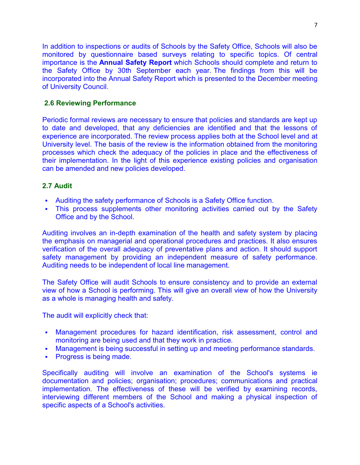In addition to inspections or audits of Schools by the Safety Office, Schools will also be monitored by questionnaire based surveys relating to specific topics. Of central importance is the **Annual Safety Report** which Schools should complete and return to the Safety Office by 30th September each year. The findings from this will be incorporated into the Annual Safety Report which is presented to the December meeting of University Council.

#### **2.6 Reviewing Performance**

Periodic formal reviews are necessary to ensure that policies and standards are kept up to date and developed, that any deficiencies are identified and that the lessons of experience are incorporated. The review process applies both at the School level and at University level. The basis of the review is the information obtained from the monitoring processes which check the adequacy of the policies in place and the effectiveness of their implementation. In the light of this experience existing policies and organisation can be amended and new policies developed.

#### **2.7 Audit**

- Auditing the safety performance of Schools is a Safety Office function.
- This process supplements other monitoring activities carried out by the Safety Office and by the School.

Auditing involves an in-depth examination of the health and safety system by placing the emphasis on managerial and operational procedures and practices. It also ensures verification of the overall adequacy of preventative plans and action. It should support safety management by providing an independent measure of safety performance. Auditing needs to be independent of local line management.

The Safety Office will audit Schools to ensure consistency and to provide an external view of how a School is performing. This will give an overall view of how the University as a whole is managing health and safety.

The audit will explicitly check that:

- Management procedures for hazard identification, risk assessment, control and monitoring are being used and that they work in practice.
- Management is being successful in setting up and meeting performance standards.
- Progress is being made.

Specifically auditing will involve an examination of the School's systems ie documentation and policies; organisation; procedures; communications and practical implementation. The effectiveness of these will be verified by examining records, interviewing different members of the School and making a physical inspection of specific aspects of a School's activities.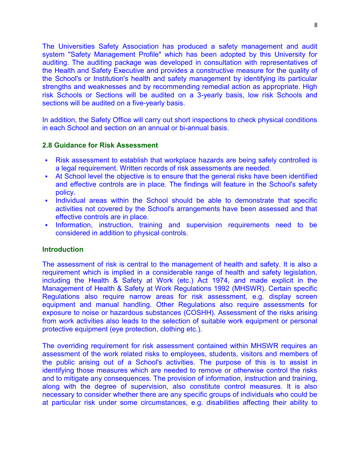The Universities Safety Association has produced a safety management and audit system "Safety Management Profile" which has been adopted by this University for auditing. The auditing package was developed in consultation with representatives of the Health and Safety Executive and provides a constructive measure for the quality of the School's or Institution's health and safety management by identifying its particular strengths and weaknesses and by recommending remedial action as appropriate. High risk Schools or Sections will be audited on a 3-yearly basis, low risk Schools and sections will be audited on a five-yearly basis.

In addition, the Safety Office will carry out short inspections to check physical conditions in each School and section on an annual or bi-annual basis.

#### **2.8 Guidance for Risk Assessment**

- Risk assessment to establish that workplace hazards are being safely controlled is a legal requirement. Written records of risk assessments are needed.
- At School level the objective is to ensure that the general risks have been identified and effective controls are in place. The findings will feature in the School's safety policy.
- Individual areas within the School should be able to demonstrate that specific activities not covered by the School's arrangements have been assessed and that effective controls are in place.
- Information, instruction, training and supervision requirements need to be considered in addition to physical controls.

#### **Introduction**

The assessment of risk is central to the management of health and safety. It is also a requirement which is implied in a considerable range of health and safety legislation, including the Health & Safety at Work (etc.) Act 1974, and made explicit in the Management of Health & Safety at Work Regulations 1992 (MHSWR). Certain specific Regulations also require narrow areas for risk assessment, e.g. display screen equipment and manual handling. Other Regulations also require assessments for exposure to noise or hazardous substances (COSHH). Assessment of the risks arising from work activities also leads to the selection of suitable work equipment or personal protective equipment (eye protection, clothing etc.).

The overriding requirement for risk assessment contained within MHSWR requires an assessment of the work related risks to employees, students, visitors and members of the public arising out of a School's activities. The purpose of this is to assist in identifying those measures which are needed to remove or otherwise control the risks and to mitigate any consequences. The provision of information, instruction and training, along with the degree of supervision, also constitute control measures. It is also necessary to consider whether there are any specific groups of individuals who could be at particular risk under some circumstances, e.g. disabilities affecting their ability to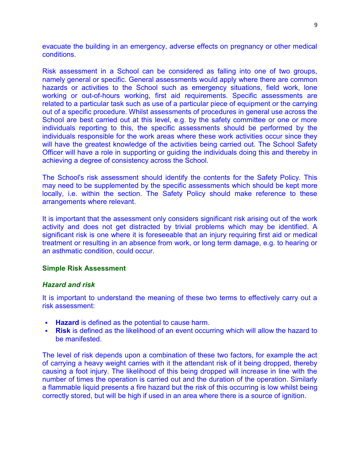evacuate the building in an emergency, adverse effects on pregnancy or other medical conditions.

Risk assessment in a School can be considered as falling into one of two groups, namely general or specific. General assessments would apply where there are common hazards or activities to the School such as emergency situations, field work, lone working or out-of-hours working, first aid requirements. Specific assessments are related to a particular task such as use of a particular piece of equipment or the carrying out of a specific procedure. Whilst assessments of procedures in general use across the School are best carried out at this level, e.g. by the safety committee or one or more individuals reporting to this, the specific assessments should be performed by the individuals responsible for the work areas where these work activities occur since they will have the greatest knowledge of the activities being carried out. The School Safety Officer will have a role in supporting or guiding the individuals doing this and thereby in achieving a degree of consistency across the School.

The School's risk assessment should identify the contents for the Safety Policy. This may need to be supplemented by the specific assessments which should be kept more locally, i.e. within the section. The Safety Policy should make reference to these arrangements where relevant.

It is important that the assessment only considers significant risk arising out of the work activity and does not get distracted by trivial problems which may be identified. A significant risk is one where it is foreseeable that an injury requiring first aid or medical treatment or resulting in an absence from work, or long term damage, e.g. to hearing or an asthmatic condition, could occur.

#### **Simple Risk Assessment**

#### *Hazard and risk*

It is important to understand the meaning of these two terms to effectively carry out a risk assessment:

- **Hazard** is defined as the potential to cause harm.
- **Risk** is defined as the likelihood of an event occurring which will allow the hazard to be manifested.

The level of risk depends upon a combination of these two factors, for example the act of carrying a heavy weight carries with it the attendant risk of it being dropped, thereby causing a foot injury. The likelihood of this being dropped will increase in line with the number of times the operation is carried out and the duration of the operation. Similarly a flammable liquid presents a fire hazard but the risk of this occurring is low whilst being correctly stored, but will be high if used in an area where there is a source of ignition.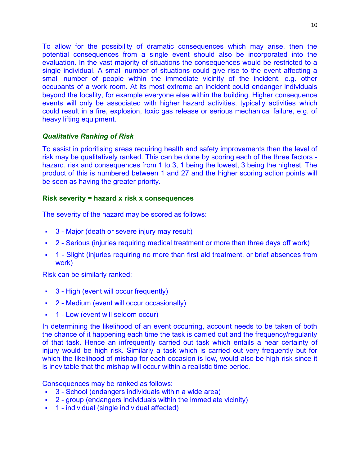To allow for the possibility of dramatic consequences which may arise, then the potential consequences from a single event should also be incorporated into the evaluation. In the vast majority of situations the consequences would be restricted to a single individual. A small number of situations could give rise to the event affecting a small number of people within the immediate vicinity of the incident, e.g. other occupants of a work room. At its most extreme an incident could endanger individuals beyond the locality, for example everyone else within the building. Higher consequence events will only be associated with higher hazard activities, typically activities which could result in a fire, explosion, toxic gas release or serious mechanical failure, e.g. of heavy lifting equipment.

#### *Qualitative Ranking of Risk*

To assist in prioritising areas requiring health and safety improvements then the level of risk may be qualitatively ranked. This can be done by scoring each of the three factors hazard, risk and consequences from 1 to 3, 1 being the lowest, 3 being the highest. The product of this is numbered between 1 and 27 and the higher scoring action points will be seen as having the greater priority.

## **Risk severity = hazard x risk x consequences**

The severity of the hazard may be scored as follows:

- 3 Major (death or severe injury may result)
- 2 Serious (injuries requiring medical treatment or more than three days off work)
- 1 Slight (injuries requiring no more than first aid treatment, or brief absences from work)

Risk can be similarly ranked:

- 3 High (event will occur frequently)
- 2 Medium (event will occur occasionally)
- 1 Low (event will seldom occur)

In determining the likelihood of an event occurring, account needs to be taken of both the chance of it happening each time the task is carried out and the frequency/regularity of that task. Hence an infrequently carried out task which entails a near certainty of injury would be high risk. Similarly a task which is carried out very frequently but for which the likelihood of mishap for each occasion is low, would also be high risk since it is inevitable that the mishap will occur within a realistic time period.

Consequences may be ranked as follows:

- 3 School (endangers individuals within a wide area)
- 2 group (endangers individuals within the immediate vicinity)
- 1 individual (single individual affected)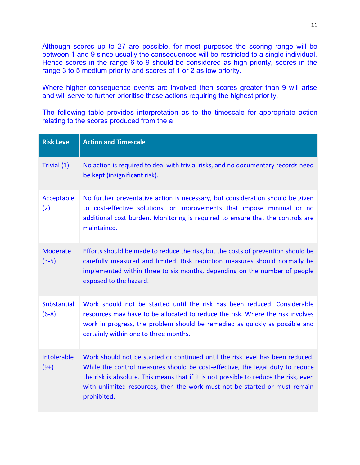Although scores up to 27 are possible, for most purposes the scoring range will be between 1 and 9 since usually the consequences will be restricted to a single individual. Hence scores in the range 6 to 9 should be considered as high priority, scores in the range 3 to 5 medium priority and scores of 1 or 2 as low priority.

Where higher consequence events are involved then scores greater than 9 will arise and will serve to further prioritise those actions requiring the highest priority.

The following table provides interpretation as to the timescale for appropriate action relating to the scores produced from the a

| <b>Risk Level</b>             | <b>Action and Timescale</b>                                                                                                                                                                                                                                                                                                                          |
|-------------------------------|------------------------------------------------------------------------------------------------------------------------------------------------------------------------------------------------------------------------------------------------------------------------------------------------------------------------------------------------------|
| Trivial (1)                   | No action is required to deal with trivial risks, and no documentary records need<br>be kept (insignificant risk).                                                                                                                                                                                                                                   |
| Acceptable<br>(2)             | No further preventative action is necessary, but consideration should be given<br>to cost-effective solutions, or improvements that impose minimal or no<br>additional cost burden. Monitoring is required to ensure that the controls are<br>maintained.                                                                                            |
| <b>Moderate</b><br>$(3-5)$    | Efforts should be made to reduce the risk, but the costs of prevention should be<br>carefully measured and limited. Risk reduction measures should normally be<br>implemented within three to six months, depending on the number of people<br>exposed to the hazard.                                                                                |
| <b>Substantial</b><br>$(6-8)$ | Work should not be started until the risk has been reduced. Considerable<br>resources may have to be allocated to reduce the risk. Where the risk involves<br>work in progress, the problem should be remedied as quickly as possible and<br>certainly within one to three months.                                                                   |
| Intolerable<br>$(9+)$         | Work should not be started or continued until the risk level has been reduced.<br>While the control measures should be cost-effective, the legal duty to reduce<br>the risk is absolute. This means that if it is not possible to reduce the risk, even<br>with unlimited resources, then the work must not be started or must remain<br>prohibited. |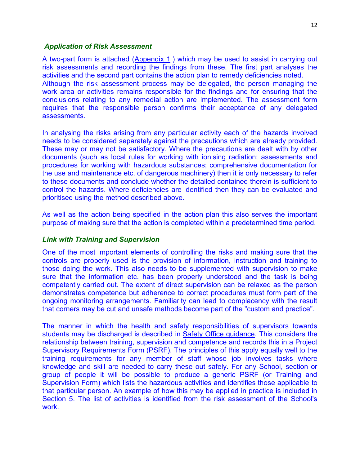#### *Application of Risk Assessment*

A two-part form is attached [\(Appendix 1](https://www.nottingham.ac.uk/safety/documents/ra-form.doc)) which may be used to assist in carrying out risk assessments and recording the findings from these. The first part analyses the activities and the second part contains the action plan to remedy deficiencies noted. Although the risk assessment process may be delegated, the person managing the work area or activities remains responsible for the findings and for ensuring that the conclusions relating to any remedial action are implemented. The assessment form requires that the responsible person confirms their acceptance of any delegated assessments.

In analysing the risks arising from any particular activity each of the hazards involved needs to be considered separately against the precautions which are already provided. These may or may not be satisfactory. Where the precautions are dealt with by other documents (such as local rules for working with ionising radiation; assessments and procedures for working with hazardous substances; comprehensive documentation for the use and maintenance etc. of dangerous machinery) then it is only necessary to refer to these documents and conclude whether the detailed contained therein is sufficient to control the hazards. Where deficiencies are identified then they can be evaluated and prioritised using the method described above.

As well as the action being specified in the action plan this also serves the important purpose of making sure that the action is completed within a predetermined time period.

#### *Link with Training and Supervision*

One of the most important elements of controlling the risks and making sure that the controls are properly used is the provision of information, instruction and training to those doing the work. This also needs to be supplemented with supervision to make sure that the information etc. has been properly understood and the task is being competently carried out. The extent of direct supervision can be relaxed as the person demonstrates competence but adherence to correct procedures must form part of the ongoing monitoring arrangements. Familiarity can lead to complacency with the result that corners may be cut and unsafe methods become part of the "custom and practice".

The manner in which the health and safety responsibilities of supervisors towards students may be discharged is described in [Safety Office guidance.](https://www.nottingham.ac.uk/safety/safety-management/supervision/supervision.aspx) This considers the relationship between training, supervision and competence and records this in a Project Supervisory Requirements Form (PSRF). The principles of this apply equally well to the training requirements for any member of staff whose job involves tasks where knowledge and skill are needed to carry these out safely. For any School, section or group of people it will be possible to produce a generic PSRF (or Training and Supervision Form) which lists the hazardous activities and identifies those applicable to that particular person. An example of how this may be applied in practice is included in Section 5. The list of activities is identified from the risk assessment of the School's work.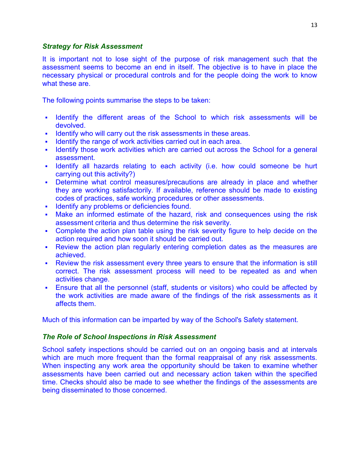#### *Strategy for Risk Assessment*

It is important not to lose sight of the purpose of risk management such that the assessment seems to become an end in itself. The objective is to have in place the necessary physical or procedural controls and for the people doing the work to know what these are.

The following points summarise the steps to be taken:

- I dentify the different areas of the School to which risk assessments will be devolved.
- Identify who will carry out the risk assessments in these areas.
- Identify the range of work activities carried out in each area.
- Intertakely those work activities which are carried out across the School for a general assessment.
- I Identify all hazards relating to each activity (i.e. how could someone be hurt carrying out this activity?)
- Determine what control measures/precautions are already in place and whether they are working satisfactorily. If available, reference should be made to existing codes of practices, safe working procedures or other assessments.
- **Identify any problems or deficiencies found.**
- Make an informed estimate of the hazard, risk and consequences using the risk assessment criteria and thus determine the risk severity.
- Complete the action plan table using the risk severity figure to help decide on the action required and how soon it should be carried out.
- Review the action plan regularly entering completion dates as the measures are achieved.
- Review the risk assessment every three years to ensure that the information is still correct. The risk assessment process will need to be repeated as and when activities change.
- Ensure that all the personnel (staff, students or visitors) who could be affected by the work activities are made aware of the findings of the risk assessments as it affects them.

Much of this information can be imparted by way of the School's Safety statement.

#### *The Role of School Inspections in Risk Assessment*

School safety inspections should be carried out on an ongoing basis and at intervals which are much more frequent than the formal reappraisal of any risk assessments. When inspecting any work area the opportunity should be taken to examine whether assessments have been carried out and necessary action taken within the specified time. Checks should also be made to see whether the findings of the assessments are being disseminated to those concerned.